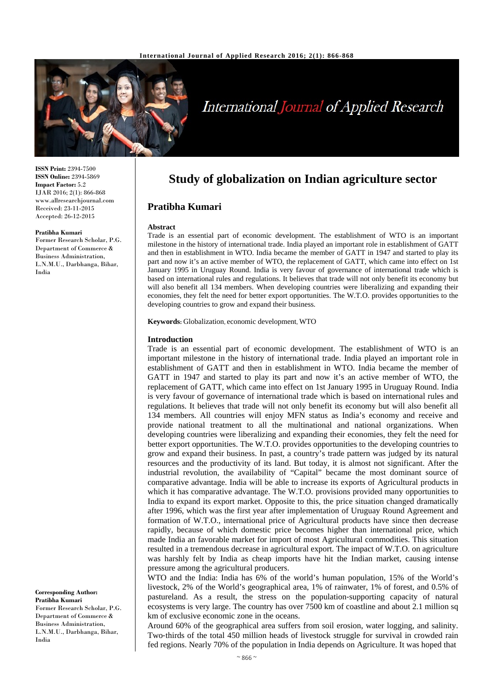

# **International Journal of Applied Research**

**ISSN Print:** 2394-7500 **ISSN Online:** 2394-5869 **Impact Factor:** 5.2 IJAR 2016; 2(1): 866-868 www.allresearchjournal.com Received: 23-11-2015 Accepted: 26-12-2015

#### **Pratibha Kumari**

Former Research Scholar, P.G. Department of Commerce & Business Administration, L.N.M.U., Darbhanga, Bihar, India

**Corresponding Author: Pratibha Kumari**

Former Research Scholar, P.G. Department of Commerce & Business Administration, L.N.M.U., Darbhanga, Bihar, India

## **Study of globalization on Indian agriculture sector**

### **Pratibha Kumari**

#### **Abstract**

Trade is an essential part of economic development. The establishment of WTO is an important milestone in the history of international trade. India played an important role in establishment of GATT and then in establishment in WTO. India became the member of GATT in 1947 and started to play its part and now it's an active member of WTO, the replacement of GATT, which came into effect on 1st January 1995 in Uruguay Round. India is very favour of governance of international trade which is based on international rules and regulations. It believes that trade will not only benefit its economy but will also benefit all 134 members. When developing countries were liberalizing and expanding their economies, they felt the need for better export opportunities. The W.T.O. provides opportunities to the developing countries to grow and expand their business.

**Keywords:** Globalization, economic development, WTO

#### **Introduction**

Trade is an essential part of economic development. The establishment of WTO is an important milestone in the history of international trade. India played an important role in establishment of GATT and then in establishment in WTO. India became the member of GATT in 1947 and started to play its part and now it's an active member of WTO, the replacement of GATT, which came into effect on 1st January 1995 in Uruguay Round. India is very favour of governance of international trade which is based on international rules and regulations. It believes that trade will not only benefit its economy but will also benefit all 134 members. All countries will enjoy MFN status as India's economy and receive and provide national treatment to all the multinational and national organizations. When developing countries were liberalizing and expanding their economies, they felt the need for better export opportunities. The W.T.O. provides opportunities to the developing countries to grow and expand their business. In past, a country's trade pattern was judged by its natural resources and the productivity of its land. But today, it is almost not significant. After the industrial revolution, the availability of "Capital" became the most dominant source of comparative advantage. India will be able to increase its exports of Agricultural products in which it has comparative advantage. The W.T.O. provisions provided many opportunities to India to expand its export market. Opposite to this, the price situation changed dramatically after 1996, which was the first year after implementation of Uruguay Round Agreement and formation of W.T.O., international price of Agricultural products have since then decrease rapidly, because of which domestic price becomes higher than international price, which made India an favorable market for import of most Agricultural commodities. This situation resulted in a tremendous decrease in agricultural export. The impact of W.T.O. on agriculture was harshly felt by India as cheap imports have hit the Indian market, causing intense pressure among the agricultural producers.

WTO and the India: India has 6% of the world's human population, 15% of the World's livestock, 2% of the World's geographical area, 1% of rainwater, 1% of forest, and 0.5% of pastureland. As a result, the stress on the population‐supporting capacity of natural ecosystems is very large. The country has over 7500 km of coastline and about 2.1 million sq km of exclusive economic zone in the oceans.

Around 60% of the geographical area suffers from soil erosion, water logging, and salinity. Two-thirds of the total 450 million heads of livestock struggle for survival in crowded rain fed regions. Nearly 70% of the population in India depends on Agriculture. It was hoped that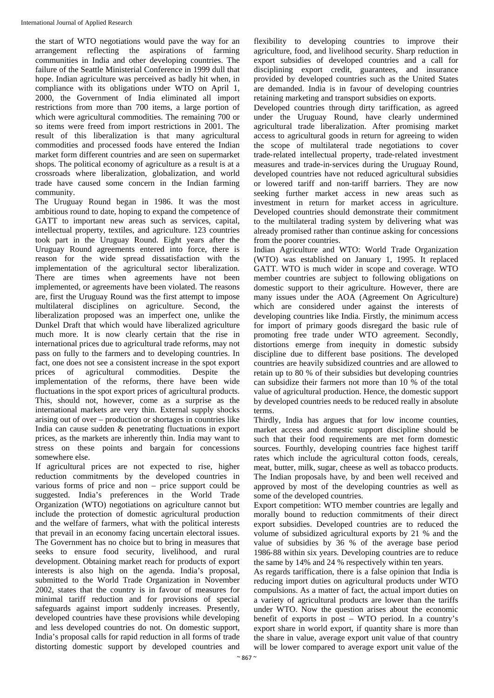the start of WTO negotiations would pave the way for an arrangement reflecting the aspirations of farming communities in India and other developing countries. The failure of the Seattle Ministerial Conference in 1999 dull that hope. Indian agriculture was perceived as badly hit when, in compliance with its obligations under WTO on April 1, 2000, the Government of India eliminated all import restrictions from more than 700 items, a large portion of which were agricultural commodities. The remaining 700 or so items were freed from import restrictions in 2001. The result of this liberalization is that many agricultural commodities and processed foods have entered the Indian market form different countries and are seen on supermarket shops. The political economy of agriculture as a result is at a crossroads where liberalization, globalization, and world trade have caused some concern in the Indian farming community.

The Uruguay Round began in 1986. It was the most ambitious round to date, hoping to expand the competence of GATT to important new areas such as services, capital, intellectual property, textiles, and agriculture. 123 countries took part in the Uruguay Round. Eight years after the Uruguay Round agreements entered into force, there is reason for the wide spread dissatisfaction with the implementation of the agricultural sector liberalization. There are times when agreements have not been implemented, or agreements have been violated. The reasons are, first the Uruguay Round was the first attempt to impose multilateral disciplines on agriculture. Second, the liberalization proposed was an imperfect one, unlike the Dunkel Draft that which would have liberalized agriculture much more. It is now clearly certain that the rise in international prices due to agricultural trade reforms, may not pass on fully to the farmers and to developing countries. In fact, one does not see a consistent increase in the spot export prices of agricultural commodities. Despite the implementation of the reforms, there have been wide fluctuations in the spot export prices of agricultural products. This, should not, however, come as a surprise as the international markets are very thin. External supply shocks arising out of over – production or shortages in countries like India can cause sudden & penetrating fluctuations in export prices, as the markets are inherently thin. India may want to stress on these points and bargain for concessions somewhere else.

If agricultural prices are not expected to rise, higher reduction commitments by the developed countries in various forms of price and non – price support could be suggested. India's preferences in the World Trade Organization (WTO) negotiations on agriculture cannot but include the protection of domestic agricultural production and the welfare of farmers, what with the political interests that prevail in an economy facing uncertain electoral issues. The Government has no choice but to bring in measures that seeks to ensure food security, livelihood, and rural development. Obtaining market reach for products of export interests is also high on the agenda. India's proposal, submitted to the World Trade Organization in November 2002, states that the country is in favour of measures for minimal tariff reduction and for provisions of special safeguards against import suddenly increases. Presently, developed countries have these provisions while developing and less developed countries do not. On domestic support, India's proposal calls for rapid reduction in all forms of trade distorting domestic support by developed countries and

flexibility to developing countries to improve their agriculture, food, and livelihood security. Sharp reduction in export subsidies of developed countries and a call for disciplining export credit, guarantees, and insurance provided by developed countries such as the United States are demanded. India is in favour of developing countries retaining marketing and transport subsidies on exports.

Developed countries through dirty tariffication, as agreed under the Uruguay Round, have clearly undermined agricultural trade liberalization. After promising market access to agricultural goods in return for agreeing to widen the scope of multilateral trade negotiations to cover trade‐related intellectual property, trade‐related investment measures and trade‐in‐services during the Uruguay Round, developed countries have not reduced agricultural subsidies or lowered tariff and non‐tariff barriers. They are now seeking further market access in new areas such as investment in return for market access in agriculture. Developed countries should demonstrate their commitment to the multilateral trading system by delivering what was already promised rather than continue asking for concessions from the poorer countries.

Indian Agriculture and WTO: World Trade Organization (WTO) was established on January 1, 1995. It replaced GATT. WTO is much wider in scope and coverage. WTO member countries are subject to following obligations on domestic support to their agriculture. However, there are many issues under the AOA (Agreement On Agriculture) which are considered under against the interests of developing countries like India. Firstly, the minimum access for import of primary goods disregard the basic rule of promoting free trade under WTO agreement. Secondly, distortions emerge from inequity in domestic subsidy discipline due to different base positions. The developed countries are heavily subsidized countries and are allowed to retain up to 80 % of their subsidies but developing countries can subsidize their farmers not more than 10 % of the total value of agricultural production. Hence, the domestic support by developed countries needs to be reduced really in absolute terms.

Thirdly, India has argues that for low income counties, market access and domestic support discipline should be such that their food requirements are met form domestic sources. Fourthly, developing countries face highest tariff rates which include the agricultural cotton foods, cereals, meat, butter, milk, sugar, cheese as well as tobacco products. The Indian proposals have, by and been well received and approved by most of the developing countries as well as some of the developed countries.

Export competition: WTO member countries are legally and morally bound to reduction commitments of their direct export subsidies. Developed countries are to reduced the volume of subsidized agricultural exports by 21 % and the value of subsidies by 36 % of the average base period 1986‐88 within six years. Developing countries are to reduce the same by 14% and 24 % respectively within ten years.

As regards tariffication, there is a false opinion that India is reducing import duties on agricultural products under WTO compulsions. As a matter of fact, the actual import duties on a variety of agricultural products are lower than the tariffs under WTO. Now the question arises about the economic benefit of exports in post – WTO period. In a country's export share in world export, if quantity share is more than the share in value, average export unit value of that country will be lower compared to average export unit value of the